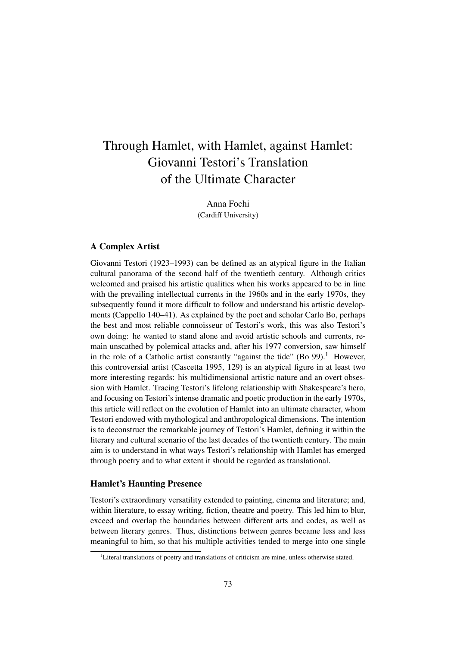# Through Hamlet, with Hamlet, against Hamlet: Giovanni Testori's Translation of the Ultimate Character

Anna Fochi (Cardiff University)

# A Complex Artist

Giovanni Testori (1923–1993) can be defined as an atypical figure in the Italian cultural panorama of the second half of the twentieth century. Although critics welcomed and praised his artistic qualities when his works appeared to be in line with the prevailing intellectual currents in the 1960s and in the early 1970s, they subsequently found it more difficult to follow and understand his artistic developments (Cappello 140–41). As explained by the poet and scholar Carlo Bo, perhaps the best and most reliable connoisseur of Testori's work, this was also Testori's own doing: he wanted to stand alone and avoid artistic schools and currents, remain unscathed by polemical attacks and, after his 1977 conversion, saw himself in the role of a Catholic artist constantly "against the tide" (Bo 99).<sup>1</sup> However, this controversial artist (Cascetta 1995, 129) is an atypical figure in at least two more interesting regards: his multidimensional artistic nature and an overt obsession with Hamlet. Tracing Testori's lifelong relationship with Shakespeare's hero, and focusing on Testori's intense dramatic and poetic production in the early 1970s, this article will reflect on the evolution of Hamlet into an ultimate character, whom Testori endowed with mythological and anthropological dimensions. The intention is to deconstruct the remarkable journey of Testori's Hamlet, defining it within the literary and cultural scenario of the last decades of the twentieth century. The main aim is to understand in what ways Testori's relationship with Hamlet has emerged through poetry and to what extent it should be regarded as translational.

# Hamlet's Haunting Presence

Testori's extraordinary versatility extended to painting, cinema and literature; and, within literature, to essay writing, fiction, theatre and poetry. This led him to blur, exceed and overlap the boundaries between different arts and codes, as well as between literary genres. Thus, distinctions between genres became less and less meaningful to him, so that his multiple activities tended to merge into one single

<sup>&</sup>lt;sup>1</sup>Literal translations of poetry and translations of criticism are mine, unless otherwise stated.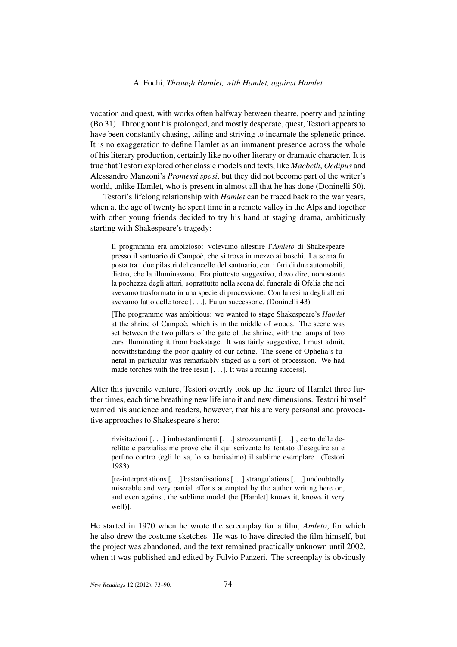vocation and quest, with works often halfway between theatre, poetry and painting (Bo 31). Throughout his prolonged, and mostly desperate, quest, Testori appears to have been constantly chasing, tailing and striving to incarnate the splenetic prince. It is no exaggeration to define Hamlet as an immanent presence across the whole of his literary production, certainly like no other literary or dramatic character. It is true that Testori explored other classic models and texts, like *Macbeth*, *Oedipus* and Alessandro Manzoni's *Promessi sposi*, but they did not become part of the writer's world, unlike Hamlet, who is present in almost all that he has done (Doninelli 50).

Testori's lifelong relationship with *Hamlet* can be traced back to the war years, when at the age of twenty he spent time in a remote valley in the Alps and together with other young friends decided to try his hand at staging drama, ambitiously starting with Shakespeare's tragedy:

Il programma era ambizioso: volevamo allestire l'*Amleto* di Shakespeare presso il santuario di Campoè, che si trova in mezzo ai boschi. La scena fu posta tra i due pilastri del cancello del santuario, con i fari di due automobili, dietro, che la illuminavano. Era piuttosto suggestivo, devo dire, nonostante la pochezza degli attori, soprattutto nella scena del funerale di Ofelia che noi avevamo trasformato in una specie di processione. Con la resina degli alberi avevamo fatto delle torce [. . .]. Fu un successone. (Doninelli 43)

[The programme was ambitious: we wanted to stage Shakespeare's *Hamlet* at the shrine of Campoè, which is in the middle of woods. The scene was set between the two pillars of the gate of the shrine, with the lamps of two cars illuminating it from backstage. It was fairly suggestive, I must admit, notwithstanding the poor quality of our acting. The scene of Ophelia's funeral in particular was remarkably staged as a sort of procession. We had made torches with the tree resin [. . .]. It was a roaring success].

After this juvenile venture, Testori overtly took up the figure of Hamlet three further times, each time breathing new life into it and new dimensions. Testori himself warned his audience and readers, however, that his are very personal and provocative approaches to Shakespeare's hero:

rivisitazioni [. . .] imbastardimenti [. . .] strozzamenti [. . .] , certo delle derelitte e parzialissime prove che il qui scrivente ha tentato d'eseguire su e perfino contro (egli lo sa, lo sa benissimo) il sublime esemplare. (Testori 1983)

[re-interpretations [. . .] bastardisations [. . .] strangulations [. . .] undoubtedly miserable and very partial efforts attempted by the author writing here on, and even against, the sublime model (he [Hamlet] knows it, knows it very well)].

He started in 1970 when he wrote the screenplay for a film, *Amleto*, for which he also drew the costume sketches. He was to have directed the film himself, but the project was abandoned, and the text remained practically unknown until 2002, when it was published and edited by Fulvio Panzeri. The screenplay is obviously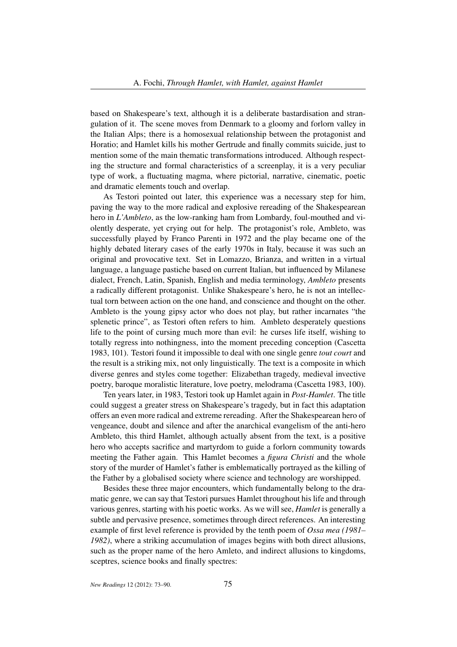based on Shakespeare's text, although it is a deliberate bastardisation and strangulation of it. The scene moves from Denmark to a gloomy and forlorn valley in the Italian Alps; there is a homosexual relationship between the protagonist and Horatio; and Hamlet kills his mother Gertrude and finally commits suicide, just to mention some of the main thematic transformations introduced. Although respecting the structure and formal characteristics of a screenplay, it is a very peculiar type of work, a fluctuating magma, where pictorial, narrative, cinematic, poetic and dramatic elements touch and overlap.

As Testori pointed out later, this experience was a necessary step for him, paving the way to the more radical and explosive rereading of the Shakespearean hero in *L'Ambleto*, as the low-ranking ham from Lombardy, foul-mouthed and violently desperate, yet crying out for help. The protagonist's role, Ambleto, was successfully played by Franco Parenti in 1972 and the play became one of the highly debated literary cases of the early 1970s in Italy, because it was such an original and provocative text. Set in Lomazzo, Brianza, and written in a virtual language, a language pastiche based on current Italian, but influenced by Milanese dialect, French, Latin, Spanish, English and media terminology, *Ambleto* presents a radically different protagonist. Unlike Shakespeare's hero, he is not an intellectual torn between action on the one hand, and conscience and thought on the other. Ambleto is the young gipsy actor who does not play, but rather incarnates "the splenetic prince", as Testori often refers to him. Ambleto desperately questions life to the point of cursing much more than evil: he curses life itself, wishing to totally regress into nothingness, into the moment preceding conception (Cascetta 1983, 101). Testori found it impossible to deal with one single genre *tout court* and the result is a striking mix, not only linguistically. The text is a composite in which diverse genres and styles come together: Elizabethan tragedy, medieval invective poetry, baroque moralistic literature, love poetry, melodrama (Cascetta 1983, 100).

Ten years later, in 1983, Testori took up Hamlet again in *Post-Hamlet*. The title could suggest a greater stress on Shakespeare's tragedy, but in fact this adaptation offers an even more radical and extreme rereading. After the Shakespearean hero of vengeance, doubt and silence and after the anarchical evangelism of the anti-hero Ambleto, this third Hamlet, although actually absent from the text, is a positive hero who accepts sacrifice and martyrdom to guide a forlorn community towards meeting the Father again. This Hamlet becomes a *figura Christi* and the whole story of the murder of Hamlet's father is emblematically portrayed as the killing of the Father by a globalised society where science and technology are worshipped.

Besides these three major encounters, which fundamentally belong to the dramatic genre, we can say that Testori pursues Hamlet throughout his life and through various genres, starting with his poetic works. As we will see, *Hamlet* is generally a subtle and pervasive presence, sometimes through direct references. An interesting example of first level reference is provided by the tenth poem of *Ossa mea (1981– 1982)*, where a striking accumulation of images begins with both direct allusions, such as the proper name of the hero Amleto, and indirect allusions to kingdoms, sceptres, science books and finally spectres: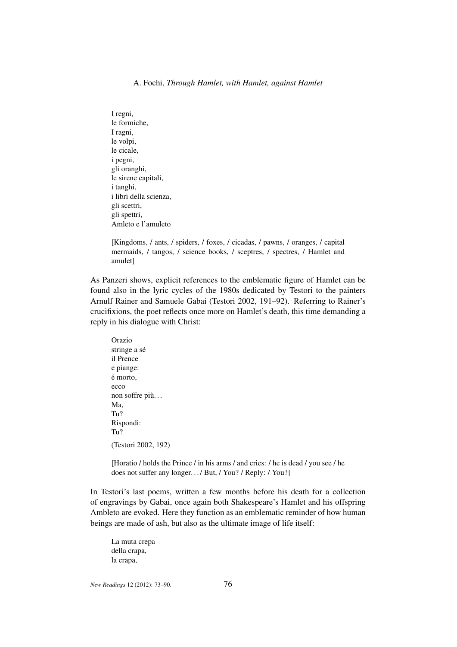I regni, le formiche, I ragni, le volpi, le cicale, i pegni, gli oranghi, le sirene capitali, i tanghi, i libri della scienza, gli scettri, gli spettri, Amleto e l'amuleto

[Kingdoms, / ants, / spiders, / foxes, / cicadas, / pawns, / oranges, / capital mermaids, / tangos, / science books, / sceptres, / spectres, / Hamlet and amulet]

As Panzeri shows, explicit references to the emblematic figure of Hamlet can be found also in the lyric cycles of the 1980s dedicated by Testori to the painters Arnulf Rainer and Samuele Gabai (Testori 2002, 191–92). Referring to Rainer's crucifixions, the poet reflects once more on Hamlet's death, this time demanding a reply in his dialogue with Christ:

Orazio stringe a sé il Prence e piange: é morto, ecco non soffre più. . . Ma, Tu? Rispondi: Tu? (Testori 2002, 192)

[Horatio / holds the Prince / in his arms / and cries: / he is dead / you see / he does not suffer any longer.../ But, / You? / Reply: / You?]

In Testori's last poems, written a few months before his death for a collection of engravings by Gabai, once again both Shakespeare's Hamlet and his offspring Ambleto are evoked. Here they function as an emblematic reminder of how human beings are made of ash, but also as the ultimate image of life itself:

La muta crepa della crapa, la crapa,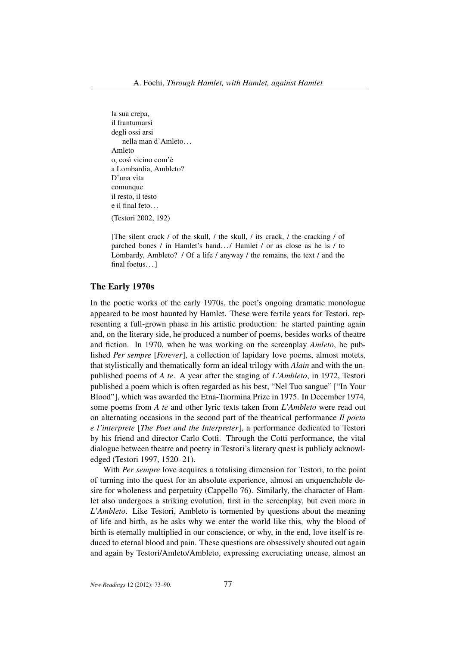la sua crepa, il frantumarsi degli ossi arsi nella man d'Amleto. . . Amleto o, così vicino com'è a Lombardia, Ambleto? D'una vita comunque il resto, il testo e il final feto. . . (Testori 2002, 192)

[The silent crack / of the skull, / the skull, / its crack, / the cracking / of parched bones / in Hamlet's hand.../ Hamlet / or as close as he is / to Lombardy, Ambleto? / Of a life / anyway / the remains, the text / and the final foetus...]

#### The Early 1970s

In the poetic works of the early 1970s, the poet's ongoing dramatic monologue appeared to be most haunted by Hamlet. These were fertile years for Testori, representing a full-grown phase in his artistic production: he started painting again and, on the literary side, he produced a number of poems, besides works of theatre and fiction. In 1970, when he was working on the screenplay *Amleto*, he published *Per sempre* [*Forever*], a collection of lapidary love poems, almost motets, that stylistically and thematically form an ideal trilogy with *Alain* and with the unpublished poems of *A te*. A year after the staging of *L'Ambleto*, in 1972, Testori published a poem which is often regarded as his best, "Nel Tuo sangue" ["In Your Blood"], which was awarded the Etna-Taormina Prize in 1975. In December 1974, some poems from *A te* and other lyric texts taken from *L'Ambleto* were read out on alternating occasions in the second part of the theatrical performance *Il poeta e l'interprete* [*The Poet and the Interpreter*], a performance dedicated to Testori by his friend and director Carlo Cotti. Through the Cotti performance, the vital dialogue between theatre and poetry in Testori's literary quest is publicly acknowledged (Testori 1997, 1520–21).

With *Per sempre* love acquires a totalising dimension for Testori, to the point of turning into the quest for an absolute experience, almost an unquenchable desire for wholeness and perpetuity (Cappello 76). Similarly, the character of Hamlet also undergoes a striking evolution, first in the screenplay, but even more in *L'Ambleto*. Like Testori, Ambleto is tormented by questions about the meaning of life and birth, as he asks why we enter the world like this, why the blood of birth is eternally multiplied in our conscience, or why, in the end, love itself is reduced to eternal blood and pain. These questions are obsessively shouted out again and again by Testori/Amleto/Ambleto, expressing excruciating unease, almost an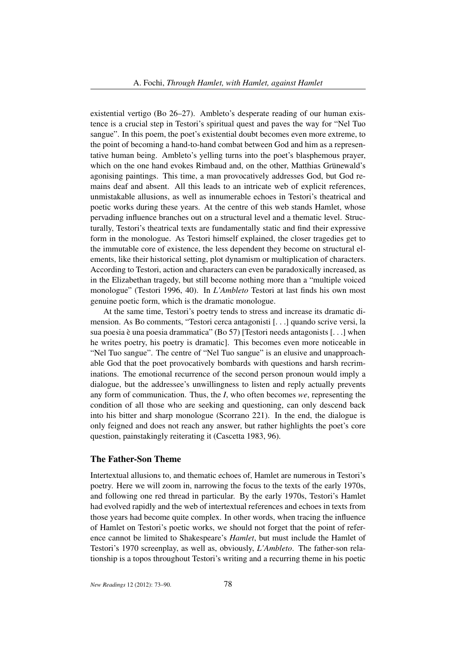existential vertigo (Bo 26–27). Ambleto's desperate reading of our human existence is a crucial step in Testori's spiritual quest and paves the way for "Nel Tuo sangue". In this poem, the poet's existential doubt becomes even more extreme, to the point of becoming a hand-to-hand combat between God and him as a representative human being. Ambleto's yelling turns into the poet's blasphemous prayer, which on the one hand evokes Rimbaud and, on the other, Matthias Grünewald's agonising paintings. This time, a man provocatively addresses God, but God remains deaf and absent. All this leads to an intricate web of explicit references, unmistakable allusions, as well as innumerable echoes in Testori's theatrical and poetic works during these years. At the centre of this web stands Hamlet, whose pervading influence branches out on a structural level and a thematic level. Structurally, Testori's theatrical texts are fundamentally static and find their expressive form in the monologue. As Testori himself explained, the closer tragedies get to the immutable core of existence, the less dependent they become on structural elements, like their historical setting, plot dynamism or multiplication of characters. According to Testori, action and characters can even be paradoxically increased, as in the Elizabethan tragedy, but still become nothing more than a "multiple voiced monologue" (Testori 1996, 40). In *L'Ambleto* Testori at last finds his own most genuine poetic form, which is the dramatic monologue.

At the same time, Testori's poetry tends to stress and increase its dramatic dimension. As Bo comments, "Testori cerca antagonisti [. . .] quando scrive versi, la sua poesia è una poesia drammatica" (Bo 57) [Testori needs antagonists [. . .] when he writes poetry, his poetry is dramatic]. This becomes even more noticeable in "Nel Tuo sangue". The centre of "Nel Tuo sangue" is an elusive and unapproachable God that the poet provocatively bombards with questions and harsh recriminations. The emotional recurrence of the second person pronoun would imply a dialogue, but the addressee's unwillingness to listen and reply actually prevents any form of communication. Thus, the *I*, who often becomes *we*, representing the condition of all those who are seeking and questioning, can only descend back into his bitter and sharp monologue (Scorrano 221). In the end, the dialogue is only feigned and does not reach any answer, but rather highlights the poet's core question, painstakingly reiterating it (Cascetta 1983, 96).

# The Father-Son Theme

Intertextual allusions to, and thematic echoes of, Hamlet are numerous in Testori's poetry. Here we will zoom in, narrowing the focus to the texts of the early 1970s, and following one red thread in particular. By the early 1970s, Testori's Hamlet had evolved rapidly and the web of intertextual references and echoes in texts from those years had become quite complex. In other words, when tracing the influence of Hamlet on Testori's poetic works, we should not forget that the point of reference cannot be limited to Shakespeare's *Hamlet*, but must include the Hamlet of Testori's 1970 screenplay, as well as, obviously, *L'Ambleto*. The father-son relationship is a topos throughout Testori's writing and a recurring theme in his poetic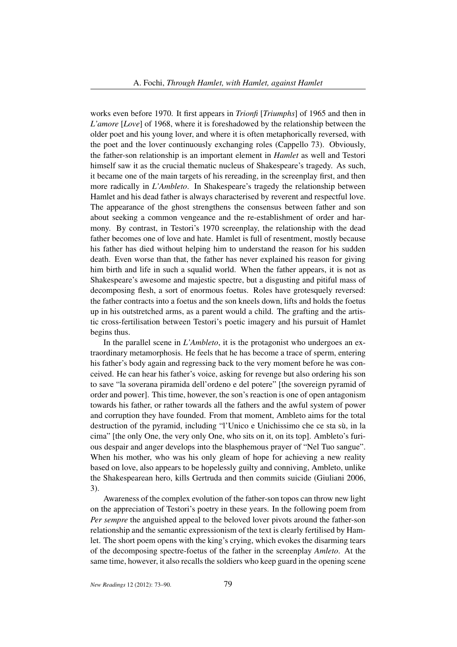works even before 1970. It first appears in *Trionfi* [*Triumphs*] of 1965 and then in *L'amore* [*Love*] of 1968, where it is foreshadowed by the relationship between the older poet and his young lover, and where it is often metaphorically reversed, with the poet and the lover continuously exchanging roles (Cappello 73). Obviously, the father-son relationship is an important element in *Hamlet* as well and Testori himself saw it as the crucial thematic nucleus of Shakespeare's tragedy. As such, it became one of the main targets of his rereading, in the screenplay first, and then more radically in *L'Ambleto*. In Shakespeare's tragedy the relationship between Hamlet and his dead father is always characterised by reverent and respectful love. The appearance of the ghost strengthens the consensus between father and son about seeking a common vengeance and the re-establishment of order and harmony. By contrast, in Testori's 1970 screenplay, the relationship with the dead father becomes one of love and hate. Hamlet is full of resentment, mostly because his father has died without helping him to understand the reason for his sudden death. Even worse than that, the father has never explained his reason for giving him birth and life in such a squalid world. When the father appears, it is not as Shakespeare's awesome and majestic spectre, but a disgusting and pitiful mass of decomposing flesh, a sort of enormous foetus. Roles have grotesquely reversed: the father contracts into a foetus and the son kneels down, lifts and holds the foetus up in his outstretched arms, as a parent would a child. The grafting and the artistic cross-fertilisation between Testori's poetic imagery and his pursuit of Hamlet begins thus.

In the parallel scene in *L'Ambleto*, it is the protagonist who undergoes an extraordinary metamorphosis. He feels that he has become a trace of sperm, entering his father's body again and regressing back to the very moment before he was conceived. He can hear his father's voice, asking for revenge but also ordering his son to save "la soverana piramida dell'ordeno e del potere" [the sovereign pyramid of order and power]. This time, however, the son's reaction is one of open antagonism towards his father, or rather towards all the fathers and the awful system of power and corruption they have founded. From that moment, Ambleto aims for the total destruction of the pyramid, including "l'Unico e Unichissimo che ce sta sù, in la cima" [the only One, the very only One, who sits on it, on its top]. Ambleto's furious despair and anger develops into the blasphemous prayer of "Nel Tuo sangue". When his mother, who was his only gleam of hope for achieving a new reality based on love, also appears to be hopelessly guilty and conniving, Ambleto, unlike the Shakespearean hero, kills Gertruda and then commits suicide (Giuliani 2006, 3).

Awareness of the complex evolution of the father-son topos can throw new light on the appreciation of Testori's poetry in these years. In the following poem from *Per sempre* the anguished appeal to the beloved lover pivots around the father-son relationship and the semantic expressionism of the text is clearly fertilised by Hamlet. The short poem opens with the king's crying, which evokes the disarming tears of the decomposing spectre-foetus of the father in the screenplay *Amleto*. At the same time, however, it also recalls the soldiers who keep guard in the opening scene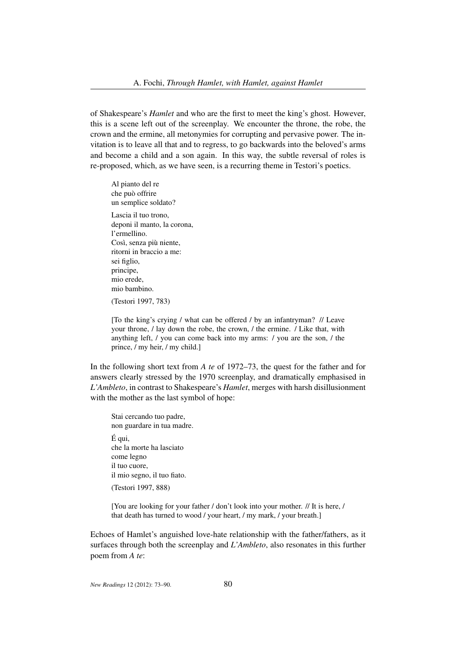of Shakespeare's *Hamlet* and who are the first to meet the king's ghost. However, this is a scene left out of the screenplay. We encounter the throne, the robe, the crown and the ermine, all metonymies for corrupting and pervasive power. The invitation is to leave all that and to regress, to go backwards into the beloved's arms and become a child and a son again. In this way, the subtle reversal of roles is re-proposed, which, as we have seen, is a recurring theme in Testori's poetics.

Al pianto del re che può offrire un semplice soldato? Lascia il tuo trono, deponi il manto, la corona, l'ermellino. Così, senza più niente, ritorni in braccio a me: sei figlio, principe, mio erede, mio bambino. (Testori 1997, 783)

[To the king's crying / what can be offered / by an infantryman? // Leave your throne, / lay down the robe, the crown, / the ermine. / Like that, with anything left, / you can come back into my arms: / you are the son, / the prince, / my heir, / my child.]

In the following short text from *A te* of 1972–73, the quest for the father and for answers clearly stressed by the 1970 screenplay, and dramatically emphasised in *L'Ambleto*, in contrast to Shakespeare's *Hamlet*, merges with harsh disillusionment with the mother as the last symbol of hope:

Stai cercando tuo padre, non guardare in tua madre. É qui, che la morte ha lasciato come legno il tuo cuore, il mio segno, il tuo fiato. (Testori 1997, 888)

[You are looking for your father / don't look into your mother. // It is here, / that death has turned to wood / your heart, / my mark, / your breath.]

Echoes of Hamlet's anguished love-hate relationship with the father/fathers, as it surfaces through both the screenplay and *L'Ambleto*, also resonates in this further poem from *A te*: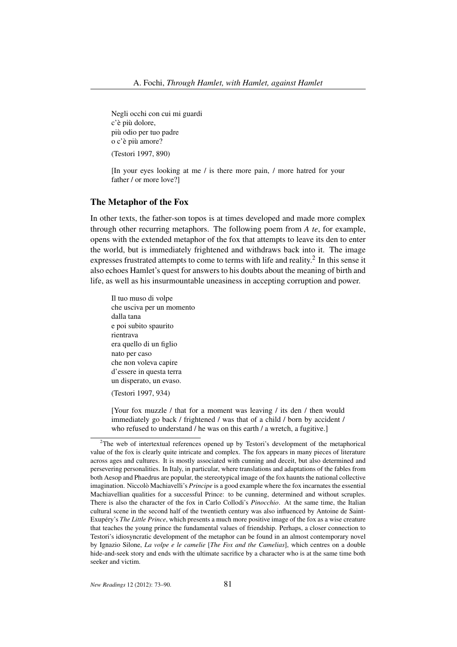Negli occhi con cui mi guardi c'è più dolore, più odio per tuo padre o c'è più amore? (Testori 1997, 890)

[In your eyes looking at me / is there more pain, / more hatred for your father / or more love?]

#### The Metaphor of the Fox

In other texts, the father-son topos is at times developed and made more complex through other recurring metaphors. The following poem from *A te*, for example, opens with the extended metaphor of the fox that attempts to leave its den to enter the world, but is immediately frightened and withdraws back into it. The image expresses frustrated attempts to come to terms with life and reality. $2 \text{ In this sense it}$ also echoes Hamlet's quest for answers to his doubts about the meaning of birth and life, as well as his insurmountable uneasiness in accepting corruption and power.

Il tuo muso di volpe che usciva per un momento dalla tana e poi subito spaurito rientrava era quello di un figlio nato per caso che non voleva capire d'essere in questa terra un disperato, un evaso. (Testori 1997, 934)

[Your fox muzzle / that for a moment was leaving / its den / then would immediately go back / frightened / was that of a child / born by accident / who refused to understand / he was on this earth / a wretch, a fugitive.]

<sup>&</sup>lt;sup>2</sup>The web of intertextual references opened up by Testori's development of the metaphorical value of the fox is clearly quite intricate and complex. The fox appears in many pieces of literature across ages and cultures. It is mostly associated with cunning and deceit, but also determined and persevering personalities. In Italy, in particular, where translations and adaptations of the fables from both Aesop and Phaedrus are popular, the stereotypical image of the fox haunts the national collective imagination. Niccolò Machiavelli's *Principe* is a good example where the fox incarnates the essential Machiavellian qualities for a successful Prince: to be cunning, determined and without scruples. There is also the character of the fox in Carlo Collodi's *Pinocchio*. At the same time, the Italian cultural scene in the second half of the twentieth century was also influenced by Antoine de Saint-Exupéry's *The Little Prince*, which presents a much more positive image of the fox as a wise creature that teaches the young prince the fundamental values of friendship. Perhaps, a closer connection to Testori's idiosyncratic development of the metaphor can be found in an almost contemporary novel by Ignazio Silone, *La volpe e le camelie* [*The Fox and the Camelias*], which centres on a double hide-and-seek story and ends with the ultimate sacrifice by a character who is at the same time both seeker and victim.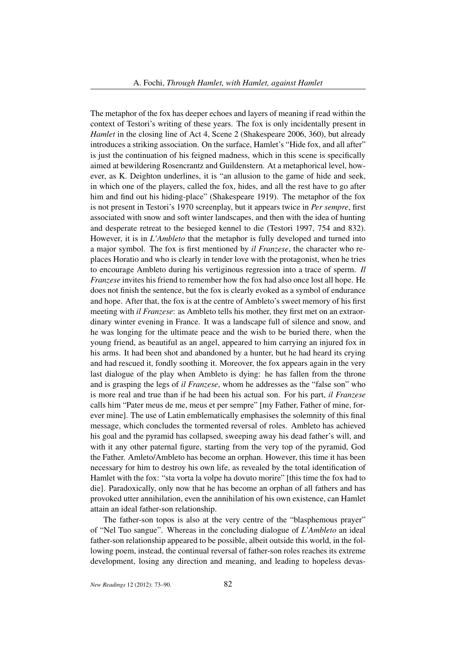The metaphor of the fox has deeper echoes and layers of meaning if read within the context of Testori's writing of these years. The fox is only incidentally present in *Hamlet* in the closing line of Act 4, Scene 2 (Shakespeare 2006, 360), but already introduces a striking association. On the surface, Hamlet's "Hide fox, and all after" is just the continuation of his feigned madness, which in this scene is specifically aimed at bewildering Rosencrantz and Guildenstern. At a metaphorical level, however, as K. Deighton underlines, it is "an allusion to the game of hide and seek, in which one of the players, called the fox, hides, and all the rest have to go after him and find out his hiding-place" (Shakespeare 1919). The metaphor of the fox is not present in Testori's 1970 screenplay, but it appears twice in *Per sempre*, first associated with snow and soft winter landscapes, and then with the idea of hunting and desperate retreat to the besieged kennel to die (Testori 1997, 754 and 832). However, it is in *L'Ambleto* that the metaphor is fully developed and turned into a major symbol. The fox is first mentioned by *il Franzese*, the character who replaces Horatio and who is clearly in tender love with the protagonist, when he tries to encourage Ambleto during his vertiginous regression into a trace of sperm. *Il Franzese* invites his friend to remember how the fox had also once lost all hope. He does not finish the sentence, but the fox is clearly evoked as a symbol of endurance and hope. After that, the fox is at the centre of Ambleto's sweet memory of his first meeting with *il Franzese*: as Ambleto tells his mother, they first met on an extraordinary winter evening in France. It was a landscape full of silence and snow, and he was longing for the ultimate peace and the wish to be buried there, when the young friend, as beautiful as an angel, appeared to him carrying an injured fox in his arms. It had been shot and abandoned by a hunter, but he had heard its crying and had rescued it, fondly soothing it. Moreover, the fox appears again in the very last dialogue of the play when Ambleto is dying: he has fallen from the throne and is grasping the legs of *il Franzese*, whom he addresses as the "false son" who is more real and true than if he had been his actual son. For his part, *il Franzese* calls him "Pater meus de me, meus et per sempre" [my Father, Father of mine, forever mine]. The use of Latin emblematically emphasises the solemnity of this final message, which concludes the tormented reversal of roles. Ambleto has achieved his goal and the pyramid has collapsed, sweeping away his dead father's will, and with it any other paternal figure, starting from the very top of the pyramid, God the Father. Amleto/Ambleto has become an orphan. However, this time it has been necessary for him to destroy his own life, as revealed by the total identification of Hamlet with the fox: "sta vorta la volpe ha dovuto morire" [this time the fox had to die]. Paradoxically, only now that he has become an orphan of all fathers and has provoked utter annihilation, even the annihilation of his own existence, can Hamlet attain an ideal father-son relationship.

The father-son topos is also at the very centre of the "blasphemous prayer" of "Nel Tuo sangue". Whereas in the concluding dialogue of *L'Ambleto* an ideal father-son relationship appeared to be possible, albeit outside this world, in the following poem, instead, the continual reversal of father-son roles reaches its extreme development, losing any direction and meaning, and leading to hopeless devas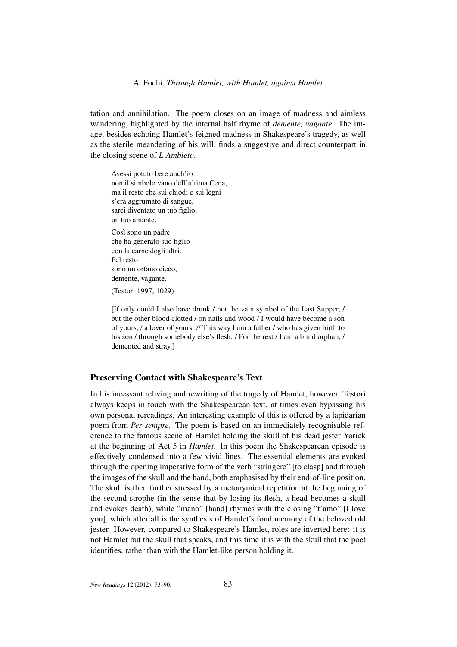tation and annihilation. The poem closes on an image of madness and aimless wandering, highlighted by the internal half rhyme of *demente, vagante*. The image, besides echoing Hamlet's feigned madness in Shakespeare's tragedy, as well as the sterile meandering of his will, finds a suggestive and direct counterpart in the closing scene of *L'Ambleto*.

Avessi potuto bere anch'io non il simbolo vano dell'ultima Cena, ma il resto che sui chiodi e sui legni s'era aggrumato di sangue, sarei diventato un tuo figlio, un tuo amante.

Così sono un padre che ha generato suo figlio con la carne degli altri. Pel resto sono un orfano cieco, demente, vagante.

(Testori 1997, 1029)

[If only could I also have drunk / not the vain symbol of the Last Supper, / but the other blood clotted / on nails and wood / I would have become a son of yours, / a lover of yours. // This way I am a father / who has given birth to his son / through somebody else's flesh. / For the rest / I am a blind orphan, / demented and stray.]

#### Preserving Contact with Shakespeare's Text

In his incessant reliving and rewriting of the tragedy of Hamlet, however, Testori always keeps in touch with the Shakespearean text, at times even bypassing his own personal rereadings. An interesting example of this is offered by a lapidarian poem from *Per sempre*. The poem is based on an immediately recognisable reference to the famous scene of Hamlet holding the skull of his dead jester Yorick at the beginning of Act 5 in *Hamlet*. In this poem the Shakespearean episode is effectively condensed into a few vivid lines. The essential elements are evoked through the opening imperative form of the verb "stringere" [to clasp] and through the images of the skull and the hand, both emphasised by their end-of-line position. The skull is then further stressed by a metonymical repetition at the beginning of the second strophe (in the sense that by losing its flesh, a head becomes a skull and evokes death), while "mano" [hand] rhymes with the closing "t'amo" [I love you], which after all is the synthesis of Hamlet's fond memory of the beloved old jester. However, compared to Shakespeare's Hamlet, roles are inverted here: it is not Hamlet but the skull that speaks, and this time it is with the skull that the poet identifies, rather than with the Hamlet-like person holding it.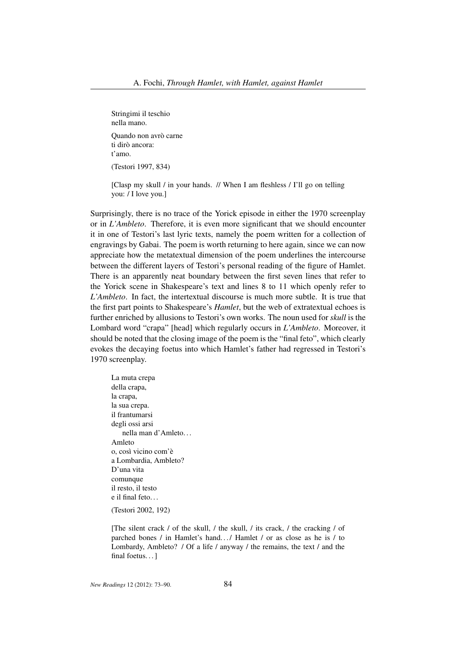Stringimi il teschio nella mano. Quando non avrò carne ti dirò ancora: t'amo. (Testori 1997, 834)

[Clasp my skull / in your hands. // When I am fleshless / I'll go on telling you: / I love you.]

Surprisingly, there is no trace of the Yorick episode in either the 1970 screenplay or in *L'Ambleto*. Therefore, it is even more significant that we should encounter it in one of Testori's last lyric texts, namely the poem written for a collection of engravings by Gabai. The poem is worth returning to here again, since we can now appreciate how the metatextual dimension of the poem underlines the intercourse between the different layers of Testori's personal reading of the figure of Hamlet. There is an apparently neat boundary between the first seven lines that refer to the Yorick scene in Shakespeare's text and lines 8 to 11 which openly refer to *L'Ambleto*. In fact, the intertextual discourse is much more subtle. It is true that the first part points to Shakespeare's *Hamlet*, but the web of extratextual echoes is further enriched by allusions to Testori's own works. The noun used for *skull* is the Lombard word "crapa" [head] which regularly occurs in *L'Ambleto*. Moreover, it should be noted that the closing image of the poem is the "final feto", which clearly evokes the decaying foetus into which Hamlet's father had regressed in Testori's 1970 screenplay.

La muta crepa della crapa, la crapa, la sua crepa. il frantumarsi degli ossi arsi nella man d'Amleto. . . Amleto o, così vicino com'è a Lombardia, Ambleto? D'una vita comunque il resto, il testo e il final feto. . . (Testori 2002, 192)

[The silent crack / of the skull, / the skull, / its crack, / the cracking / of parched bones / in Hamlet's hand.../ Hamlet / or as close as he is / to Lombardy, Ambleto? / Of a life / anyway / the remains, the text / and the final foetus...]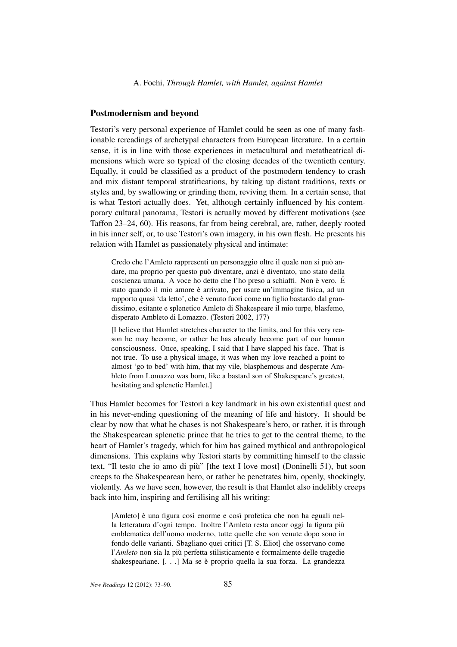### Postmodernism and beyond

Testori's very personal experience of Hamlet could be seen as one of many fashionable rereadings of archetypal characters from European literature. In a certain sense, it is in line with those experiences in metacultural and metatheatrical dimensions which were so typical of the closing decades of the twentieth century. Equally, it could be classified as a product of the postmodern tendency to crash and mix distant temporal stratifications, by taking up distant traditions, texts or styles and, by swallowing or grinding them, reviving them. In a certain sense, that is what Testori actually does. Yet, although certainly influenced by his contemporary cultural panorama, Testori is actually moved by different motivations (see Taffon 23–24, 60). His reasons, far from being cerebral, are, rather, deeply rooted in his inner self, or, to use Testori's own imagery, in his own flesh. He presents his relation with Hamlet as passionately physical and intimate:

Credo che l'Amleto rappresenti un personaggio oltre il quale non si può andare, ma proprio per questo può diventare, anzi è diventato, uno stato della coscienza umana. A voce ho detto che l'ho preso a schiaffi. Non è vero. É stato quando il mio amore è arrivato, per usare un'immagine fisica, ad un rapporto quasi 'da letto', che è venuto fuori come un figlio bastardo dal grandissimo, esitante e splenetico Amleto di Shakespeare il mio turpe, blasfemo, disperato Ambleto di Lomazzo. (Testori 2002, 177)

[I believe that Hamlet stretches character to the limits, and for this very reason he may become, or rather he has already become part of our human consciousness. Once, speaking, I said that I have slapped his face. That is not true. To use a physical image, it was when my love reached a point to almost 'go to bed' with him, that my vile, blasphemous and desperate Ambleto from Lomazzo was born, like a bastard son of Shakespeare's greatest, hesitating and splenetic Hamlet.]

Thus Hamlet becomes for Testori a key landmark in his own existential quest and in his never-ending questioning of the meaning of life and history. It should be clear by now that what he chases is not Shakespeare's hero, or rather, it is through the Shakespearean splenetic prince that he tries to get to the central theme, to the heart of Hamlet's tragedy, which for him has gained mythical and anthropological dimensions. This explains why Testori starts by committing himself to the classic text, "Il testo che io amo di più" [the text I love most] (Doninelli 51), but soon creeps to the Shakespearean hero, or rather he penetrates him, openly, shockingly, violently. As we have seen, however, the result is that Hamlet also indelibly creeps back into him, inspiring and fertilising all his writing:

[Amleto] è una figura così enorme e così profetica che non ha eguali nella letteratura d'ogni tempo. Inoltre l'Amleto resta ancor oggi la figura più emblematica dell'uomo moderno, tutte quelle che son venute dopo sono in fondo delle varianti. Sbagliano quei critici [T. S. Eliot] che osservano come l'*Amleto* non sia la più perfetta stilisticamente e formalmente delle tragedie shakespeariane. [. . .] Ma se è proprio quella la sua forza. La grandezza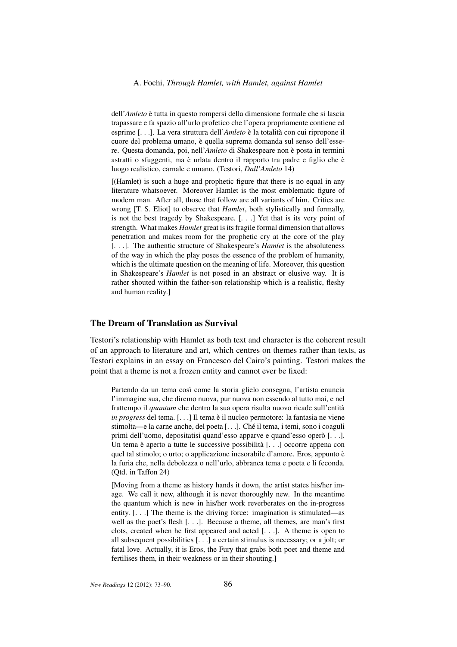dell'*Amleto* è tutta in questo rompersi della dimensione formale che si lascia trapassare e fa spazio all'urlo profetico che l'opera propriamente contiene ed esprime [. . .]. La vera struttura dell'*Amleto* è la totalità con cui ripropone il cuore del problema umano, è quella suprema domanda sul senso dell'essere. Questa domanda, poi, nell'*Amleto* di Shakespeare non è posta in termini astratti o sfuggenti, ma è urlata dentro il rapporto tra padre e figlio che è luogo realistico, carnale e umano. (Testori, *Dall'Amleto* 14)

[(Hamlet) is such a huge and prophetic figure that there is no equal in any literature whatsoever. Moreover Hamlet is the most emblematic figure of modern man. After all, those that follow are all variants of him. Critics are wrong [T. S. Eliot] to observe that *Hamlet*, both stylistically and formally, is not the best tragedy by Shakespeare. [. . .] Yet that is its very point of strength. What makes *Hamlet* great is its fragile formal dimension that allows penetration and makes room for the prophetic cry at the core of the play [. . .]. The authentic structure of Shakespeare's *Hamlet* is the absoluteness of the way in which the play poses the essence of the problem of humanity, which is the ultimate question on the meaning of life. Moreover, this question in Shakespeare's *Hamlet* is not posed in an abstract or elusive way. It is rather shouted within the father-son relationship which is a realistic, fleshy and human reality.]

# The Dream of Translation as Survival

Testori's relationship with Hamlet as both text and character is the coherent result of an approach to literature and art, which centres on themes rather than texts, as Testori explains in an essay on Francesco del Cairo's painting. Testori makes the point that a theme is not a frozen entity and cannot ever be fixed:

Partendo da un tema così come la storia glielo consegna, l'artista enuncia l'immagine sua, che diremo nuova, pur nuova non essendo al tutto mai, e nel frattempo il *quantum* che dentro la sua opera risulta nuovo ricade sull'entità *in progress* del tema. [. . .] Il tema è il nucleo permotore: la fantasia ne viene stimolta—e la carne anche, del poeta [. . .]. Ché il tema, i temi, sono i coaguli primi dell'uomo, depositatisi quand'esso apparve e quand'esso operò [. . .]. Un tema è aperto a tutte le successive possibilità [. . .] occorre appena con quel tal stimolo; o urto; o applicazione inesorabile d'amore. Eros, appunto è la furia che, nella debolezza o nell'urlo, abbranca tema e poeta e li feconda. (Qtd. in Taffon 24)

[Moving from a theme as history hands it down, the artist states his/her image. We call it new, although it is never thoroughly new. In the meantime the quantum which is new in his/her work reverberates on the in-progress entity. [. . .] The theme is the driving force: imagination is stimulated—as well as the poet's flesh [. . .]. Because a theme, all themes, are man's first clots, created when he first appeared and acted [. . .]. A theme is open to all subsequent possibilities [. . .] a certain stimulus is necessary; or a jolt; or fatal love. Actually, it is Eros, the Fury that grabs both poet and theme and fertilises them, in their weakness or in their shouting.]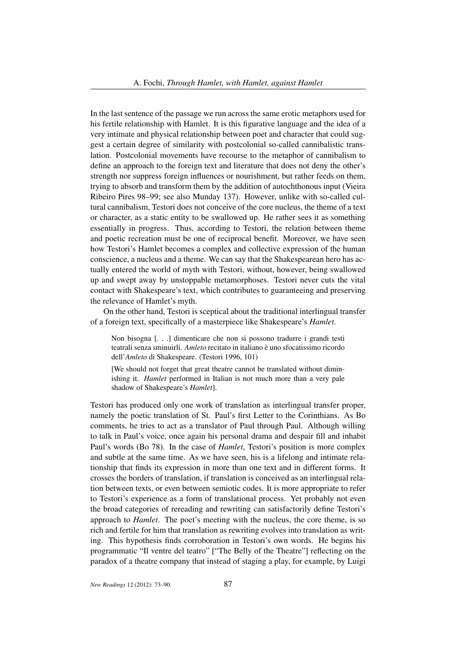In the last sentence of the passage we run across the same erotic metaphors used for his fertile relationship with Hamlet. It is this figurative language and the idea of a very intimate and physical relationship between poet and character that could suggest a certain degree of similarity with postcolonial so-called cannibalistic translation. Postcolonial movements have recourse to the metaphor of cannibalism to define an approach to the foreign text and literature that does not deny the other's strength nor suppress foreign influences or nourishment, but rather feeds on them, trying to absorb and transform them by the addition of autochthonous input (Vieira Ribeiro Pires 98–99; see also Munday 137). However, unlike with so-called cultural cannibalism, Testori does not conceive of the core nucleus, the theme of a text or character, as a static entity to be swallowed up. He rather sees it as something essentially in progress. Thus, according to Testori, the relation between theme and poetic recreation must be one of reciprocal benefit. Moreover, we have seen how Testori's Hamlet becomes a complex and collective expression of the human conscience, a nucleus and a theme. We can say that the Shakespearean hero has actually entered the world of myth with Testori, without, however, being swallowed up and swept away by unstoppable metamorphoses. Testori never cuts the vital contact with Shakespeare's text, which contributes to guaranteeing and preserving the relevance of Hamlet's myth.

On the other hand, Testori is sceptical about the traditional interlingual transfer of a foreign text, specifically of a masterpiece like Shakespeare's *Hamlet*.

Non bisogna [. . .] dimenticare che non si possono tradurre i grandi testi teatrali senza sminuirli. *Amleto* recitato in italiano è uno sfocatissimo ricordo dell'*Amleto* di Shakespeare. (Testori 1996, 101)

[We should not forget that great theatre cannot be translated without diminishing it. *Hamlet* performed in Italian is not much more than a very pale shadow of Shakespeare's *Hamlet*].

Testori has produced only one work of translation as interlingual transfer proper, namely the poetic translation of St. Paul's first Letter to the Corinthians. As Bo comments, he tries to act as a translator of Paul through Paul. Although willing to talk in Paul's voice, once again his personal drama and despair fill and inhabit Paul's words (Bo 78). In the case of *Hamlet*, Testori's position is more complex and subtle at the same time. As we have seen, his is a lifelong and intimate relationship that finds its expression in more than one text and in different forms. It crosses the borders of translation, if translation is conceived as an interlingual relation between texts, or even between semiotic codes. It is more appropriate to refer to Testori's experience as a form of translational process. Yet probably not even the broad categories of rereading and rewriting can satisfactorily define Testori's approach to *Hamlet*. The poet's meeting with the nucleus, the core theme, is so rich and fertile for him that translation as rewriting evolves into translation as writing. This hypothesis finds corroboration in Testori's own words. He begins his programmatic "Il ventre del teatro" ["The Belly of the Theatre"] reflecting on the paradox of a theatre company that instead of staging a play, for example, by Luigi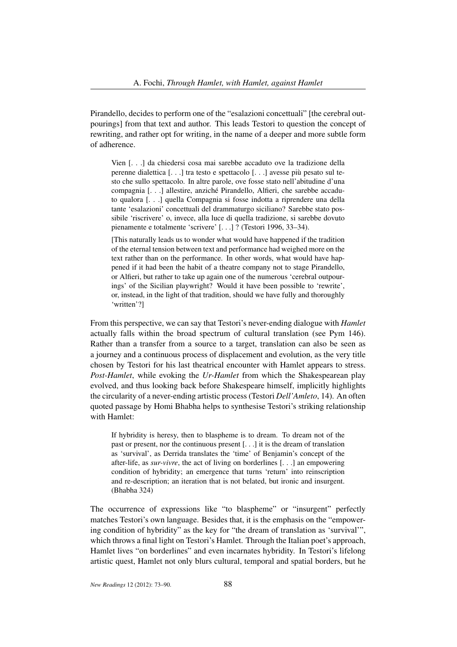Pirandello, decides to perform one of the "esalazioni concettuali" [the cerebral outpourings] from that text and author. This leads Testori to question the concept of rewriting, and rather opt for writing, in the name of a deeper and more subtle form of adherence.

Vien [. . .] da chiedersi cosa mai sarebbe accaduto ove la tradizione della perenne dialettica [. . .] tra testo e spettacolo [. . .] avesse più pesato sul testo che sullo spettacolo. In altre parole, ove fosse stato nell'abitudine d'una compagnia [. . .] allestire, anziché Pirandello, Alfieri, che sarebbe accaduto qualora [. . .] quella Compagnia si fosse indotta a riprendere una della tante 'esalazioni' concettuali del drammaturgo siciliano? Sarebbe stato possibile 'riscrivere' o, invece, alla luce di quella tradizione, si sarebbe dovuto pienamente e totalmente 'scrivere' [. . .] ? (Testori 1996, 33–34).

[This naturally leads us to wonder what would have happened if the tradition of the eternal tension between text and performance had weighed more on the text rather than on the performance. In other words, what would have happened if it had been the habit of a theatre company not to stage Pirandello, or Alfieri, but rather to take up again one of the numerous 'cerebral outpourings' of the Sicilian playwright? Would it have been possible to 'rewrite', or, instead, in the light of that tradition, should we have fully and thoroughly 'written'?]

From this perspective, we can say that Testori's never-ending dialogue with *Hamlet* actually falls within the broad spectrum of cultural translation (see Pym 146). Rather than a transfer from a source to a target, translation can also be seen as a journey and a continuous process of displacement and evolution, as the very title chosen by Testori for his last theatrical encounter with Hamlet appears to stress. *Post-Hamlet*, while evoking the *Ur-Hamlet* from which the Shakespearean play evolved, and thus looking back before Shakespeare himself, implicitly highlights the circularity of a never-ending artistic process (Testori *Dell'Amleto*, 14). An often quoted passage by Homi Bhabha helps to synthesise Testori's striking relationship with Hamlet:

If hybridity is heresy, then to blaspheme is to dream. To dream not of the past or present, nor the continuous present [. . .] it is the dream of translation as 'survival', as Derrida translates the 'time' of Benjamin's concept of the after-life, as *sur-vivre*, the act of living on borderlines [. . .] an empowering condition of hybridity; an emergence that turns 'return' into reinscription and re-description; an iteration that is not belated, but ironic and insurgent. (Bhabha 324)

The occurrence of expressions like "to blaspheme" or "insurgent" perfectly matches Testori's own language. Besides that, it is the emphasis on the "empowering condition of hybridity" as the key for "the dream of translation as 'survival'", which throws a final light on Testori's Hamlet. Through the Italian poet's approach, Hamlet lives "on borderlines" and even incarnates hybridity. In Testori's lifelong artistic quest, Hamlet not only blurs cultural, temporal and spatial borders, but he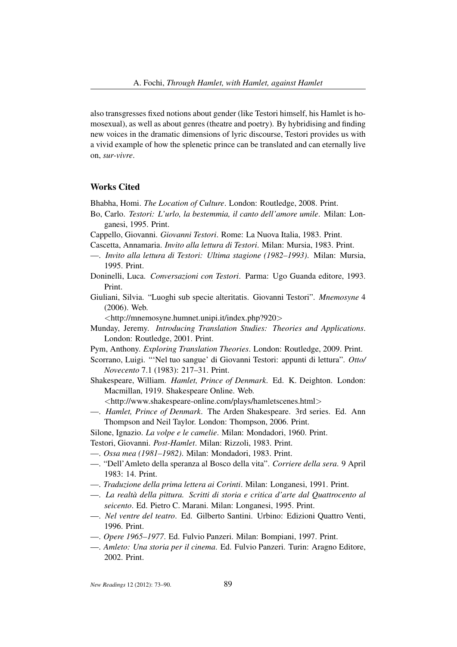also transgresses fixed notions about gender (like Testori himself, his Hamlet is homosexual), as well as about genres (theatre and poetry). By hybridising and finding new voices in the dramatic dimensions of lyric discourse, Testori provides us with a vivid example of how the splenetic prince can be translated and can eternally live on, *sur-vivre*.

# Works Cited

Bhabha, Homi. *The Location of Culture*. London: Routledge, 2008. Print.

- Bo, Carlo. *Testori: L'urlo, la bestemmia, il canto dell'amore umile*. Milan: Longanesi, 1995. Print.
- Cappello, Giovanni. *Giovanni Testori*. Rome: La Nuova Italia, 1983. Print.
- Cascetta, Annamaria. *Invito alla lettura di Testori*. Milan: Mursia, 1983. Print.
- —. *Invito alla lettura di Testori: Ultima stagione (1982–1993)*. Milan: Mursia, 1995. Print.
- Doninelli, Luca. *Conversazioni con Testori*. Parma: Ugo Guanda editore, 1993. Print.
- Giuliani, Silvia. "Luoghi sub specie alteritatis. Giovanni Testori". *Mnemosyne* 4 (2006). Web.

<http://mnemosyne.humnet.unipi.it/index.php?920>

- Munday, Jeremy. *Introducing Translation Studies: Theories and Applications*. London: Routledge, 2001. Print.
- Pym, Anthony. *Exploring Translation Theories*. London: Routledge, 2009. Print.
- Scorrano, Luigi. "'Nel tuo sangue' di Giovanni Testori: appunti di lettura". *Otto/ Novecento* 7.1 (1983): 217–31. Print.
- Shakespeare, William. *Hamlet, Prince of Denmark*. Ed. K. Deighton. London: Macmillan, 1919. Shakespeare Online. Web.

<http://www.shakespeare-online.com/plays/hamletscenes.html>

- —. *Hamlet, Prince of Denmark*. The Arden Shakespeare. 3rd series. Ed. Ann Thompson and Neil Taylor. London: Thompson, 2006. Print.
- Silone, Ignazio. *La volpe e le camelie*. Milan: Mondadori, 1960. Print.
- Testori, Giovanni. *Post-Hamlet*. Milan: Rizzoli, 1983. Print.
- —. *Ossa mea (1981–1982)*. Milan: Mondadori, 1983. Print.
- —. "Dell'Amleto della speranza al Bosco della vita". *Corriere della sera*. 9 April 1983: 14. Print.
- —. *Traduzione della prima lettera ai Corinti*. Milan: Longanesi, 1991. Print.
- —. *La realtà della pittura. Scritti di storia e critica d'arte dal Quattrocento al seicento*. Ed. Pietro C. Marani. Milan: Longanesi, 1995. Print.
- —. *Nel ventre del teatro*. Ed. Gilberto Santini. Urbino: Edizioni Quattro Venti, 1996. Print.
- —. *Opere 1965–1977*. Ed. Fulvio Panzeri. Milan: Bompiani, 1997. Print.
- —. *Amleto: Una storia per il cinema*. Ed. Fulvio Panzeri. Turin: Aragno Editore, 2002. Print.